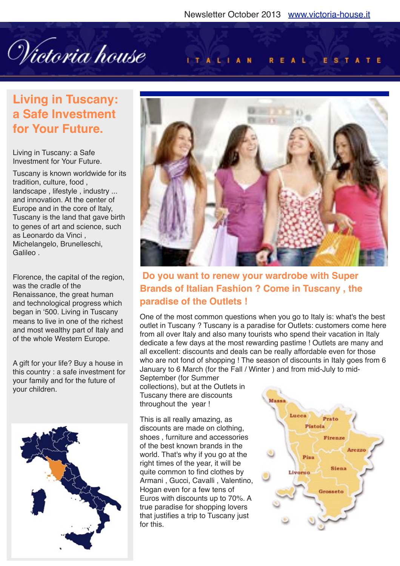Wictoria house

#### ITALIAN REAL ESTATE

# **Living in Tuscany: a Safe Investment for Your Future.**

Living in Tuscany: a Safe Investment for Your Future.

Tuscany is known worldwide for its tradition, culture, food , landscape , lifestyle , industry ... and innovation. At the center of Europe and in the core of Italy, Tuscany is the land that gave birth to genes of art and science, such as Leonardo da Vinci , Michelangelo, Brunelleschi, Galileo .

Florence, the capital of the region, was the cradle of the Renaissance, the great human and technological progress which began in '500. Living in Tuscany means to live in one of the richest and most wealthy part of Italy and of the whole Western Europe.

A gift for your life? Buy a house in this country : a safe investment for your family and for the future of your children.





### **Do you want to renew your wardrobe with Super Brands of Italian Fashion ? Come in Tuscany , the paradise of the Outlets !**

One of the most common questions when you go to Italy is: what's the best outlet in Tuscany ? Tuscany is a paradise for Outlets: customers come here from all over Italy and also many tourists who spend their vacation in Italy dedicate a few days at the most rewarding pastime ! Outlets are many and all excellent: discounts and deals can be really affordable even for those who are not fond of shopping ! The season of discounts in Italy goes from 6 January to 6 March (for the Fall / Winter ) and from mid-July to mid-

September (for Summer collections), but at the Outlets in Tuscany there are discounts throughout the year !

This is all really amazing, as discounts are made on clothing, shoes , furniture and accessories of the best known brands in the world. That's why if you go at the right times of the year, it will be quite common to find clothes by Armani , Gucci, Cavalli , Valentino, Hogan even for a few tens of Euros with discounts up to 70%. A true paradise for shopping lovers that justifies a trip to Tuscany just for this.